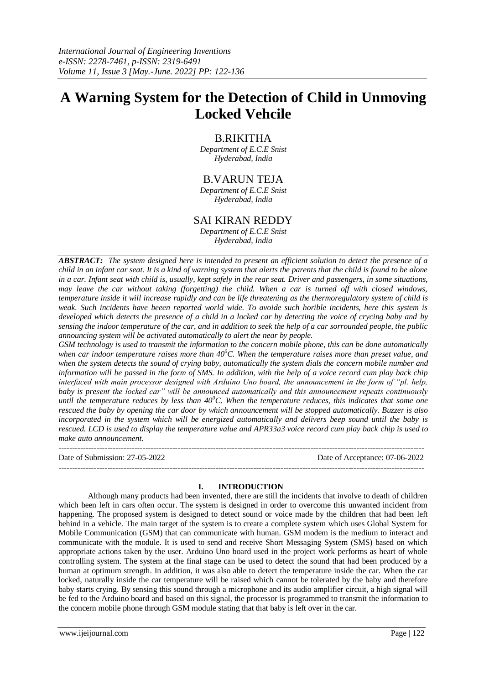# **A Warning System for the Detection of Child in Unmoving Locked Vehcile**

# B.RIKITHA

*Department of E.C.E Snist Hyderabad, India*

# B.VARUN TEJA

*Department of E.C.E Snist Hyderabad, India*

# SAI KIRAN REDDY

*Department of E.C.E Snist Hyderabad, India*

*ABSTRACT: The system designed here is intended to present an efficient solution to detect the presence of a child in an infant car seat. It is a kind of warning system that alerts the parents that the child is found to be alone in a car. Infant seat with child is, usually, kept safely in the rear seat. Driver and passengers, in some situations, may leave the car without taking (forgetting) the child. When a car is turned off with closed windows, temperature inside it will increase rapidly and can be life threatening as the thermoregulatory system of child is weak. Such incidents have beeen reported world wide. To avoide such horible incidents, here this system is developed which detects the presence of a child in a locked car by detecting the voice of crycing baby and by sensing the indoor temperature of the car, and in addition to seek the help of a car sorrounded people, the public announcing system will be activated automatically to alert the near by people.* 

*GSM technology is used to transmit the information to the concern mobile phone, this can be done automatically when car indoor temperature raises more than 40<sup>0</sup>C. When the temperature raises more than preset value, and when the system detects the sound of crying baby, automatically the system dials the concern mobile number and information will be passed in the form of SMS. In addition, with the help of a voice record cum play back chip interfaced with main processor designed with Arduino Uno board, the announcement in the form of "pl. help, baby is present the locked car" will be announced automatically and this announcement repeats continuously until the temperature reduces by less than*  $40^{\circ}$ *C. When the temperature reduces, this indicates that some one rescued the baby by opening the car door by which announcement will be stopped automatically. Buzzer is also incorporated in the system which will be energized automatically and delivers beep sound until the baby is rescued. LCD is used to display the temperature value and APR33a3 voice record cum play back chip is used to make auto announcement.* 

Date of Submission: 27-05-2022 Date of Acceptance: 07-06-2022 ---------------------------------------------------------------------------------------------------------------------------------------

# **I. INTRODUCTION**

---------------------------------------------------------------------------------------------------------------------------------------

Although many products had been invented, there are still the incidents that involve to death of children which been left in cars often occur. The system is designed in order to overcome this unwanted incident from happening. The proposed system is designed to detect sound or voice made by the children that had been left behind in a vehicle. The main target of the system is to create a complete system which uses Global System for Mobile Communication (GSM) that can communicate with human. GSM modem is the medium to interact and communicate with the module. It is used to send and receive Short Messaging System (SMS) based on which appropriate actions taken by the user. Arduino Uno board used in the project work performs as heart of whole controlling system. The system at the final stage can be used to detect the sound that had been produced by a human at optimum strength. In addition, it was also able to detect the temperature inside the car. When the car locked, naturally inside the car temperature will be raised which cannot be tolerated by the baby and therefore baby starts crying. By sensing this sound through a microphone and its audio amplifier circuit, a high signal will be fed to the Arduino board and based on this signal, the processor is programmed to transmit the information to the concern mobile phone through GSM module stating that that baby is left over in the car.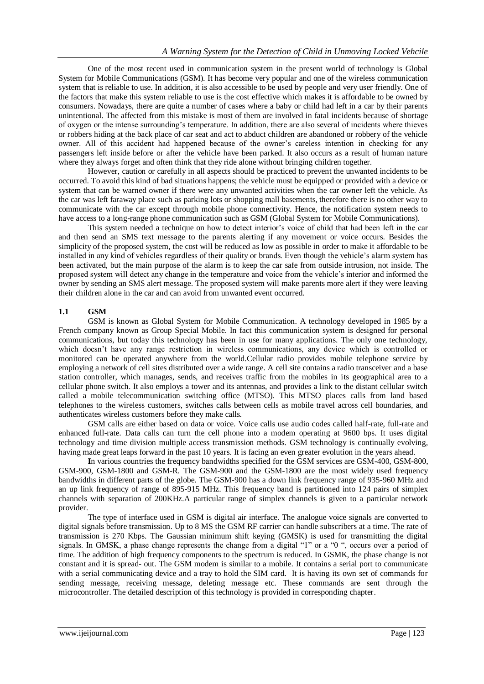One of the most recent used in communication system in the present world of technology is Global System for Mobile Communications (GSM). It has become very popular and one of the wireless communication system that is reliable to use. In addition, it is also accessible to be used by people and very user friendly. One of the factors that make this system reliable to use is the cost effective which makes it is affordable to be owned by consumers. Nowadays, there are quite a number of cases where a baby or child had left in a car by their parents unintentional. The affected from this mistake is most of them are involved in fatal incidents because of shortage of oxygen or the intense surrounding's temperature. In addition, there are also several of incidents where thieves or robbers hiding at the back place of car seat and act to abduct children are abandoned or robbery of the vehicle owner. All of this accident had happened because of the owner's careless intention in checking for any passengers left inside before or after the vehicle have been parked. It also occurs as a result of human nature where they always forget and often think that they ride alone without bringing children together.

However, caution or carefully in all aspects should be practiced to prevent the unwanted incidents to be occurred. To avoid this kind of bad situations happens; the vehicle must be equipped or provided with a device or system that can be warned owner if there were any unwanted activities when the car owner left the vehicle. As the car was left faraway place such as parking lots or shopping mall basements, therefore there is no other way to communicate with the car except through mobile phone connectivity. Hence, the notification system needs to have access to a long-range phone communication such as GSM (Global System for Mobile Communications).

This system needed a technique on how to detect interior's voice of child that had been left in the car and then send an SMS text message to the parents alerting if any movement or voice occurs. Besides the simplicity of the proposed system, the cost will be reduced as low as possible in order to make it affordable to be installed in any kind of vehicles regardless of their quality or brands. Even though the vehicle's alarm system has been activated, but the main purpose of the alarm is to keep the car safe from outside intrusion, not inside. The proposed system will detect any change in the temperature and voice from the vehicle's interior and informed the owner by sending an SMS alert message. The proposed system will make parents more alert if they were leaving their children alone in the car and can avoid from unwanted event occurred.

# **1.1 GSM**

GSM is known as Global System for Mobile Communication. A technology developed in 1985 by a French company known as Group Special Mobile. In fact this communication system is designed for personal communications, but today this technology has been in use for many applications. The only one technology, which doesn't have any range restriction in wireless communications, any device which is controlled or monitored can be operated anywhere from the world.Cellular radio provides mobile telephone service by employing a network of cell sites distributed over a wide range. A cell site contains a radio transceiver and a base station controller, which manages, sends, and receives traffic from the mobiles in its geographical area to a cellular phone switch. It also employs a tower and its antennas, and provides a link to the distant cellular switch called a mobile telecommunication switching office (MTSO). This MTSO places calls from land based telephones to the wireless customers, switches calls between cells as mobile travel across cell boundaries, and authenticates wireless customers before they make calls.

GSM calls are either based on data or voice. Voice calls use audio codes called half-rate, full-rate and enhanced full-rate. Data calls can turn the cell phone into a modem operating at 9600 bps. It uses digital technology and time division multiple access transmission methods. GSM technology is continually evolving, having made great leaps forward in the past 10 years. It is facing an even greater evolution in the years ahead.

**I**n various countries the frequency bandwidths specified for the GSM services are GSM-400, GSM-800, GSM-900, GSM-1800 and GSM-R. The GSM-900 and the GSM-1800 are the most widely used frequency bandwidths in different parts of the globe. The GSM-900 has a down link frequency range of 935-960 MHz and an up link frequency of range of 895-915 MHz. This frequency band is partitioned into 124 pairs of simplex channels with separation of 200KHz.A particular range of simplex channels is given to a particular network provider.

The type of interface used in GSM is digital air interface. The analogue voice signals are converted to digital signals before transmission. Up to 8 MS the GSM RF carrier can handle subscribers at a time. The rate of transmission is 270 Kbps. The Gaussian minimum shift keying (GMSK) is used for transmitting the digital signals. In GMSK, a phase change represents the change from a digital "1" or a "0 ", occurs over a period of time. The addition of high frequency components to the spectrum is reduced. In GSMK, the phase change is not constant and it is spread- out. The GSM modem is similar to a mobile. It contains a serial port to communicate with a serial communicating device and a tray to hold the SIM card. It is having its own set of commands for sending message, receiving message, deleting message etc. These commands are sent through the microcontroller. The detailed description of this technology is provided in corresponding chapter.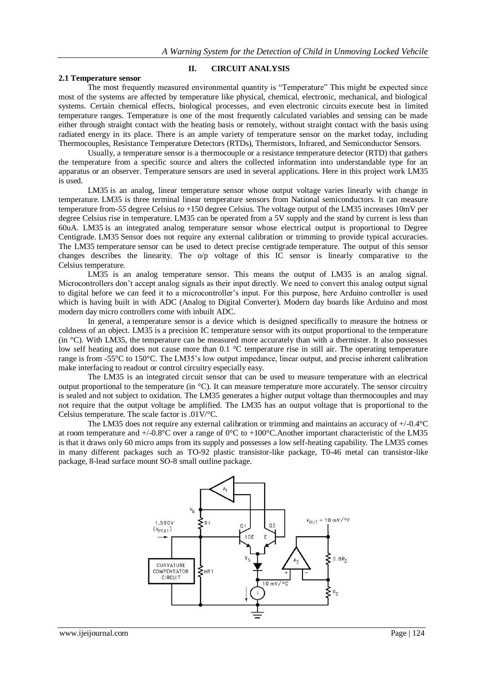#### **2.1 Temperature sensor**

# **II. CIRCUIT ANALYSIS**

The most frequently measured environmental quantity is "Temperature" This might be expected since most of the systems are affected by temperature like physical, chemical, electronic, mechanical, and biological systems. Certain chemical effects, biological processes, and even electronic circuits execute best in limited temperature ranges. Temperature is one of the most frequently calculated variables and sensing can be made either through straight contact with the heating basis or remotely, without straight contact with the basis using radiated energy in its place. There is an ample variety of temperature sensor on the market today, including Thermocouples, Resistance Temperature Detectors (RTDs), Thermistors, Infrared, and Semiconductor Sensors.

Usually, a temperature sensor is a thermocouple or a resistance temperature detector (RTD) that gathers the temperature from a specific source and alters the collected information into understandable type for an apparatus or an observer. Temperature [sensors are used in several applications.](http://www.efxkits.us/piezoelectric-sensor-interfacing-arduino/) Here in this project work LM35 is used.

LM35 is an analog, linear temperature sensor whose output voltage varies linearly with change in temperature. LM35 is three terminal linear temperature sensors from National semiconductors. It can measure temperature from*-55* degree Celsius *to* +150 degree Celsius*.* The voltage output of the LM35 increases 10mV per degree Celsius rise in temperature. LM35 can be operated from a 5V supply and the stand by current is less than 60uA. LM35 is an integrated analog temperature sensor whose electrical output is proportional to Degree Centigrade. LM35 Sensor does not require any external calibration or trimming to provide typical accuracies. The LM35 temperature sensor can be used to detect precise centigrade temperature. The output of this sensor changes describes the linearity. The o/p voltage of this IC sensor is linearly comparative to the Celsius temperature.

LM35 is an analog temperature sensor. This means the output of LM35 is an analog signal. Microcontrollers don't accept analog signals as their input directly. We need to convert this analog output signal to digital before we can feed it to a microcontroller's input. For this purpose, here Arduino controller is used which is having built in with ADC (Analog to Digital Converter). Modern day boards like Arduino and most modern day micro controllers come with inbuilt ADC.

In general, a temperature sensor is a device which is designed specifically to measure the hotness or coldness of an object. LM35 is a precision IC temperature sensor with its output proportional to the temperature (in °C). With LM35, the temperature can be measured more accurately than with a thermister. It also possesses low self heating and does not cause more than 0.1 °C temperature rise in still air. The operating temperature range is from -55°C to 150°C. The LM35's low output impedance, linear output, and precise inherent calibration make interfacing to readout or control circuitry especially easy.

The LM35 is an integrated circuit sensor that can be used to measure temperature with an electrical output proportional to the temperature (in °C). It can measure temperature more accurately. The sensor circuitry is sealed and not subject to oxidation. The LM35 generates a higher output voltage than thermocouples and may not require that the output voltage be amplified. The LM35 has an output voltage that is proportional to the Celsius temperature. The scale factor is .01V/°C.

The LM35 does not require any external calibration or trimming and maintains an accuracy of +/-0.4°C at room temperature and  $+/-0.8^{\circ}\text{C}$  over a range of  $0^{\circ}\text{C}$  to  $+100^{\circ}\text{C}$ . Another important characteristic of the LM35 is that it draws only 60 micro amps from its supply and possesses a low self-heating capability. The LM35 comes in many different packages such as TO-92 plastic transistor-like package, T0-46 metal can transistor-like package, 8-lead surface mount SO-8 small outline package.

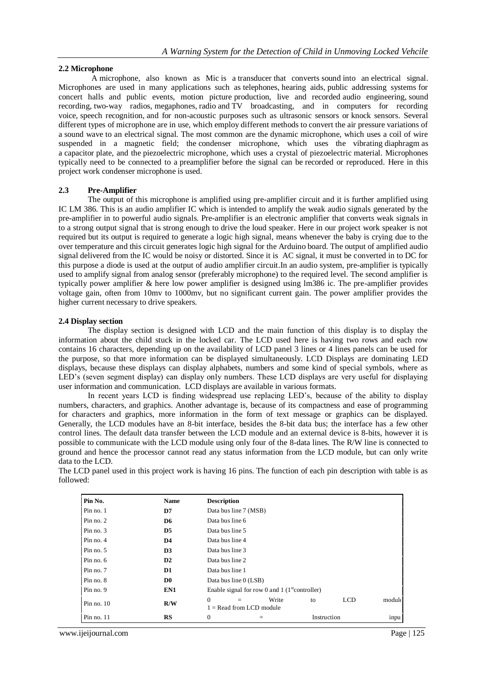### **2.2 Microphone**

A microphone, also known as Mic is a transducer that converts sound into an electrical signal. Microphones are used in many applications such as telephones, hearing aids, public addressing systems for concert halls and public events, motion picture production, live and recorded audio engineering, sound recording, two-way radios, megaphones, radio and TV broadcasting, and in computers for recording voice, speech recognition, and for non-acoustic purposes such as ultrasonic sensors or knock sensors. Several different types of microphone are in use, which employ different methods to convert the air pressure variations of a sound wave to an electrical signal. The most common are the dynamic microphone, which uses a coil of wire suspended in a magnetic field; the condenser microphone, which uses the vibrating diaphragm as a capacitor plate, and the piezoelectric microphone, which uses a crystal of piezoelectric material. Microphones typically need to be connected to a preamplifier before the signal can be recorded or reproduced. Here in this project work condenser microphone is used.

# **2.3 Pre-Amplifier**

The output of this microphone is amplified using pre-amplifier circuit and it is further amplified using IC LM 386. This is an audio amplifier IC which is intended to amplify the weak audio signals generated by the pre-amplifier in to powerful audio signals. Pre-amplifier is an electronic amplifier that converts weak signals in to a strong output signal that is strong enough to drive the loud speaker. Here in our project work speaker is not required but its output is required to generate a logic high signal, means whenever the baby is crying due to the over temperature and this circuit generates logic high signal for the Arduino board. The output of amplified audio signal delivered from the IC would be noisy or distorted. Since it is AC signal, it must be converted in to DC for this purpose a diode is used at the output of audio amplifier circuit.In an audio system, pre-amplifier is typically used to amplify signal from analog sensor (preferably microphone) to the required level. The second amplifier is typically power amplifier & here low power amplifier is designed using lm386 ic. The pre-amplifier provides voltage gain, often from 10mv to 1000mv, but no significant current gain. The power amplifier provides the higher current necessary to drive speakers.

#### **2.4 Display section**

The display section is designed with LCD and the main function of this display is to display the information about the child stuck in the locked car. The LCD used here is having two rows and each row contains 16 characters, depending up on the availability of LCD panel 3 lines or 4 lines panels can be used for the purpose, so that more information can be displayed simultaneously. LCD Displays are dominating LED displays, because these displays can display alphabets, numbers and some kind of special symbols, where as LED's (seven segment display) can display only numbers. These LCD displays are very useful for displaying user information and communication. LCD displays are available in various formats.

In recent years LCD is finding widespread use replacing LED's, because of the ability to display numbers, characters, and graphics. Another advantage is, because of its compactness and ease of programming for characters and graphics, more information in the form of text message or graphics can be displayed. Generally, the LCD modules have an 8-bit interface, besides the 8-bit data bus; the interface has a few other control lines. The default data transfer between the LCD module and an external device is 8-bits, however it is possible to communicate with the LCD module using only four of the 8-data lines. The R/W line is connected to ground and hence the processor cannot read any status information from the LCD module, but can only write data to the LCD.

The LCD panel used in this project work is having 16 pins. The function of each pin description with table is as followed:

| Pin No.      | <b>Name</b>    | <b>Description</b>    |                            |                                                            |             |            |       |
|--------------|----------------|-----------------------|----------------------------|------------------------------------------------------------|-------------|------------|-------|
| Pin no. 1    | D7             | Data bus line 7 (MSB) |                            |                                                            |             |            |       |
| Pin no. $2$  | D <sub>6</sub> | Data bus line 6       |                            |                                                            |             |            |       |
| Pin no. 3    | D <sub>5</sub> | Data bus line 5       |                            |                                                            |             |            |       |
| Pin no. 4    | D <sub>4</sub> | Data bus line 4       |                            |                                                            |             |            |       |
| Pin no. 5    | D <sub>3</sub> | Data bus line 3       |                            |                                                            |             |            |       |
| Pin no. $6$  | $\mathbf{D2}$  | Data bus line 2       |                            |                                                            |             |            |       |
| Pin no. 7    | D1             | Data bus line 1       |                            |                                                            |             |            |       |
| Pin no. 8    | D <sub>0</sub> | Data bus line 0 (LSB) |                            |                                                            |             |            |       |
| Pin no. 9    | EN1            |                       |                            | Enable signal for row 0 and 1 $(1^{\text{st}}$ controller) |             |            |       |
| Pin no. $10$ | R/W            | $\Omega$              | $1 =$ Read from LCD module | Write                                                      | to          | <b>LCD</b> | moduk |
| Pin no. $11$ | <b>RS</b>      | $\mathbf{0}$          |                            |                                                            | Instruction |            | inpu  |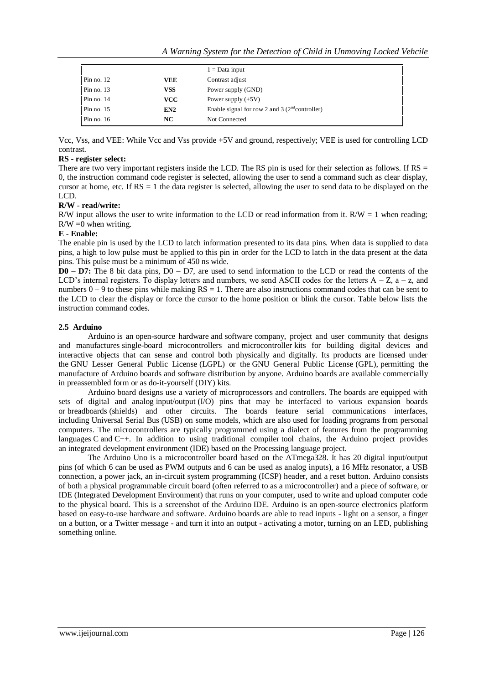|              |                 | $1 = Data input$                                 |
|--------------|-----------------|--------------------------------------------------|
| Pin no. $12$ | VEE             | Contrast adjust                                  |
| Pin no. $13$ | <b>VSS</b>      | Power supply (GND)                               |
| Pin no. $14$ | <b>VCC</b>      | Power supply $(+5V)$                             |
| Pin no. $15$ | EN <sub>2</sub> | Enable signal for row 2 and 3 $(2nd controller)$ |
| Pin no. $16$ | NC              | Not Connected                                    |

Vcc, Vss, and VEE: While Vcc and Vss provide +5V and ground, respectively; VEE is used for controlling LCD contrast.

# **RS - register select:**

There are two very important registers inside the LCD. The RS pin is used for their selection as follows. If  $RS =$ 0, the instruction command code register is selected, allowing the user to send a command such as clear display, cursor at home, etc. If  $RS = 1$  the data register is selected, allowing the user to send data to be displayed on the LCD.

# **R/W - read/write:**

R/W input allows the user to write information to the LCD or read information from it. R/W = 1 when reading;  $R/W = 0$  when writing.

# **E - Enable:**

The enable pin is used by the LCD to latch information presented to its data pins. When data is supplied to data pins, a high to low pulse must be applied to this pin in order for the LCD to latch in the data present at the data pins. This pulse must be a minimum of 450 ns wide.

**D0 – D7:** The 8 bit data pins, D0 – D7, are used to send information to the LCD or read the contents of the LCD's internal registers. To display letters and numbers, we send ASCII codes for the letters  $A - Z$ ,  $a - z$ , and numbers  $0 - 9$  to these pins while making  $RS = 1$ . There are also instructions command codes that can be sent to the LCD to clear the display or force the cursor to the home position or blink the cursor. Table below lists the instruction command codes.

# **2.5 Arduino**

Arduino is an [open-source hardware](https://en.wikipedia.org/wiki/Open-source_hardware) and [software](https://en.wikipedia.org/wiki/Open-source_software) company, project and user community that designs and manufactures [single-board microcontrollers](https://en.wikipedia.org/wiki/Single-board_microcontroller) and [microcontroller](https://en.wikipedia.org/wiki/Microcontroller) kits for building digital devices and interactive objects that can sense and control both physically and digitally. Its products are licensed under the [GNU Lesser General Public License](https://en.wikipedia.org/wiki/GNU_Lesser_General_Public_License) (LGPL) or the [GNU General Public License](https://en.wikipedia.org/wiki/GNU_General_Public_License) (GPL), permitting the manufacture of Arduino boards and software distribution by anyone. Arduino boards are available commercially in preassembled form or as [do-it-yourself](https://en.wikipedia.org/wiki/Do-it-yourself) (DIY) kits.

Arduino board designs use a variety of microprocessors and controllers. The boards are equipped with sets of digital and analog [input/output](https://en.wikipedia.org/wiki/Input/output) (I/O) pins that may be interfaced to various expansion boards or [breadboards](https://en.wikipedia.org/wiki/Breadboards) (shields) and other circuits. The boards feature serial communications interfaces, including [Universal Serial Bus](https://en.wikipedia.org/wiki/Universal_Serial_Bus) (USB) on some models, which are also used for loading programs from personal computers. The microcontrollers are typically programmed using a dialect of features from the programming languages [C](https://en.wikipedia.org/wiki/C_(programming_language)) and [C++.](https://en.wikipedia.org/wiki/C%2B%2B) In addition to using traditional [compiler](https://en.wikipedia.org/wiki/Compiler) [tool chains,](https://en.wikipedia.org/wiki/Toolchains) the Arduino project provides an [integrated development environment](https://en.wikipedia.org/wiki/Integrated_development_environment) (IDE) based on the [Processing](https://en.wikipedia.org/wiki/Processing_(programming_language)) language project.

The Arduino Uno is a microcontroller board based on the ATmega328. It has 20 digital input/output pins (of which 6 can be used as PWM outputs and 6 can be used as analog inputs), a 16 MHz resonator, a USB connection, a power jack, an in-circuit system programming (ICSP) header, and a reset button. Arduino consists of both a physical programmable circuit board (often referred to as a microcontroller) and a piece of software, or IDE (Integrated Development Environment) that runs on your computer, used to write and upload computer code to the physical board. This is a screenshot of the Arduino IDE. Arduino is an open-source electronics platform based on easy-to-use hardware and software. Arduino boards are able to read inputs - light on a sensor, a finger on a button, or a Twitter message - and turn it into an output - activating a motor, turning on an LED, publishing something online.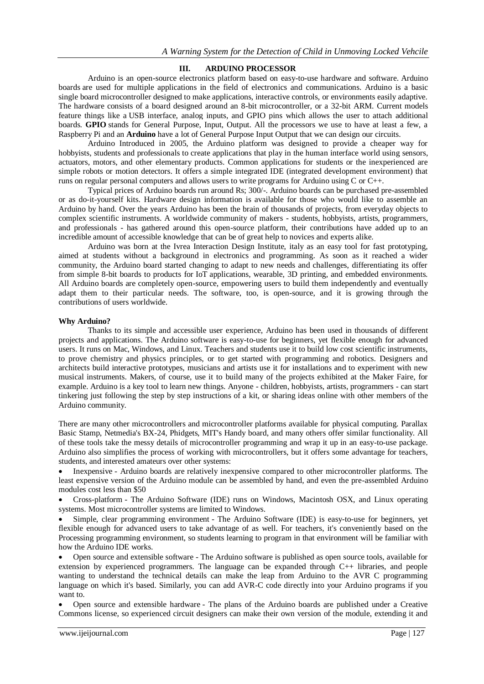## **III. ARDUINO PROCESSOR**

Arduino is an open-source electronics platform based on easy-to-use hardware and software. [Arduino](https://www.arduino.cc/en/Main/Products)  [boards](https://www.arduino.cc/en/Main/Products) are used for multiple applications in the field of electronics and communications. Arduino is a basic single board microcontroller designed to make applications, interactive controls, or environments easily adaptive. The hardware consists of a board designed around an 8-bit microcontroller, or a 32-bit ARM. Current models feature things like a USB interface, analog inputs, and GPIO pins which allows the user to attach additional boards. **GPIO** stands for General Purpose, Input, Output. All the processors we use to have at least a few, a Raspberry Pi and an **Arduino** have a lot of General Purpose Input Output that we can design our circuits.

Arduino Introduced in 2005, the Arduino platform was designed to provide a cheaper way for hobbyists, students and professionals to create applications that play in the human interface world using sensors, actuators, motors, and other elementary products. Common applications for students or the inexperienced are simple robots or motion detectors. It offers a simple integrated IDE (integrated development environment) that runs on regular personal computers and allows users to write programs for Arduino using C or C++.

Typical prices of Arduino boards run around Rs; 300/-. Arduino boards can be purchased pre-assembled or as do-it-yourself kits. Hardware design information is available for those who would like to assemble an Arduino by hand. Over the years Arduino has been the brain of thousands of projects, from everyday objects to complex scientific instruments. A worldwide community of makers - students, hobbyists, artists, programmers, and professionals - has gathered around this open-source platform, their contributions have added up to an incredible amount of [accessible knowledge](http://forum.arduino.cc/) that can be of great help to novices and experts alike.

Arduino was born at the Ivrea Interaction Design Institute, italy as an easy tool for fast prototyping, aimed at students without a background in electronics and programming. As soon as it reached a wider community, the Arduino board started changing to adapt to new needs and challenges, differentiating its offer from simple 8-bit boards to products for IoT applications, wearable, 3D printing, and embedded environments. All Arduino boards are completely open-source, empowering users to build them independently and eventually adapt them to their particular needs. The [software,](https://www.arduino.cc/en/Main/Software) too, is open-source, and it is growing through the contributions of users worldwide.

#### **Why Arduino?**

Thanks to its simple and accessible user experience, Arduino has been used in thousands of different projects and applications. The Arduino software is easy-to-use for beginners, yet flexible enough for advanced users. It runs on Mac, Windows, and Linux. Teachers and students use it to build low cost scientific instruments, to prove chemistry and physics principles, or to get started with programming and robotics. Designers and architects build interactive prototypes, musicians and artists use it for installations and to experiment with new musical instruments. Makers, of course, use it to build many of the projects exhibited at the Maker Faire, for example. Arduino is a key tool to learn new things. Anyone - children, hobbyists, artists, programmers - can start tinkering just following the step by step instructions of a kit, or sharing ideas online with other members of the Arduino community.

There are many other microcontrollers and microcontroller platforms available for physical computing. Parallax Basic Stamp, Netmedia's BX-24, Phidgets, MIT's Handy board, and many others offer similar functionality. All of these tools take the messy details of microcontroller programming and wrap it up in an easy-to-use package. Arduino also simplifies the process of working with microcontrollers, but it offers some advantage for teachers, students, and interested amateurs over other systems:

 Inexpensive - Arduino boards are relatively inexpensive compared to other microcontroller platforms. The least expensive version of the Arduino module can be assembled by hand, and even the pre-assembled Arduino modules cost less than \$50

 Cross-platform - The Arduino Software (IDE) runs on Windows, Macintosh OSX, and Linux operating systems. Most microcontroller systems are limited to Windows.

 Simple, clear programming environment - The Arduino Software (IDE) is easy-to-use for beginners, yet flexible enough for advanced users to take advantage of as well. For teachers, it's conveniently based on the Processing programming environment, so students learning to program in that environment will be familiar with how the Arduino IDE works.

 Open source and extensible software - The Arduino software is published as open source tools, available for extension by experienced programmers. The language can be expanded through C++ libraries, and people wanting to understand the technical details can make the leap from Arduino to the AVR C programming language on which it's based. Similarly, you can add AVR-C code directly into your Arduino programs if you want to.

 Open source and extensible hardware - The plans of the Arduino boards are published under a Creative Commons license, so experienced circuit designers can make their own version of the module, extending it and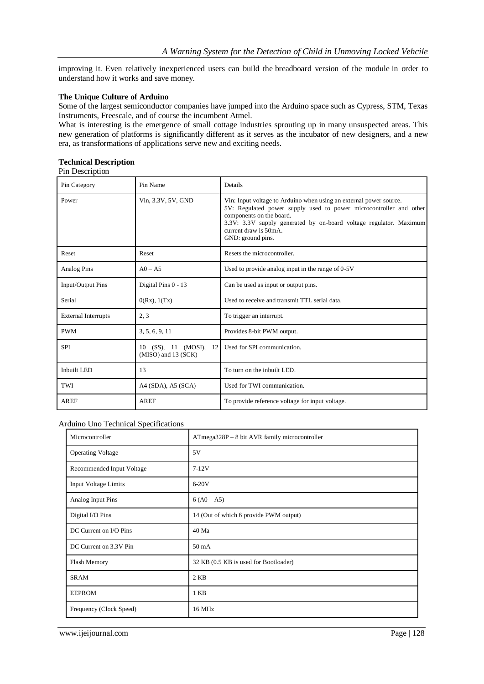improving it. Even relatively inexperienced users can build the [breadboard version of the module](https://www.arduino.cc/en/Main/Standalone) in order to understand how it works and save money.

#### **The Unique Culture of Arduino**

Some of the largest semiconductor companies have jumped into the Arduino space such as Cypress, STM, Texas Instruments, Freescale, and of course the incumbent Atmel.

What is interesting is the emergence of small cottage industries sprouting up in many unsuspected areas. This new generation of platforms is significantly different as it serves as the incubator of new designers, and a new era, as transformations of applications serve new and exciting needs.

# **Technical Description**

| Pin Description |  |
|-----------------|--|
|-----------------|--|

| Pin Category               | Pin Name                                             | Details                                                                                                                                                                                                                                                                                  |
|----------------------------|------------------------------------------------------|------------------------------------------------------------------------------------------------------------------------------------------------------------------------------------------------------------------------------------------------------------------------------------------|
| Power                      | Vin, 3.3V, 5V, GND                                   | Vin: Input voltage to Arduino when using an external power source.<br>5V: Regulated power supply used to power microcontroller and other<br>components on the board.<br>3.3V: 3.3V supply generated by on-board voltage regulator. Maximum<br>current draw is 50mA.<br>GND: ground pins. |
| Reset                      | Reset                                                | Resets the microcontroller.                                                                                                                                                                                                                                                              |
| Analog Pins                | $AO - A5$                                            | Used to provide analog input in the range of 0-5V                                                                                                                                                                                                                                        |
| Input/Output Pins          | Digital Pins 0 - 13                                  | Can be used as input or output pins.                                                                                                                                                                                                                                                     |
| Serial                     | 0(Rx), 1(Tx)                                         | Used to receive and transmit TTL serial data.                                                                                                                                                                                                                                            |
| <b>External Interrupts</b> | 2, 3                                                 | To trigger an interrupt.                                                                                                                                                                                                                                                                 |
| <b>PWM</b>                 | 3, 5, 6, 9, 11                                       | Provides 8-bit PWM output.                                                                                                                                                                                                                                                               |
| <b>SPI</b>                 | 10 (SS), 11 (MOSI),<br>12<br>$(MISO)$ and 13 $(SCK)$ | Used for SPI communication.                                                                                                                                                                                                                                                              |
| Inbuilt LED                | 13                                                   | To turn on the inbuilt LED.                                                                                                                                                                                                                                                              |
| TWI                        | A4 (SDA), A5 (SCA)                                   | Used for TWI communication.                                                                                                                                                                                                                                                              |
| <b>AREF</b>                | <b>AREF</b>                                          | To provide reference voltage for input voltage.                                                                                                                                                                                                                                          |

#### Arduino Uno Technical Specifications

| Microcontroller<br>ATmega328P – 8 bit AVR family microcontroller |                                        |
|------------------------------------------------------------------|----------------------------------------|
| <b>Operating Voltage</b>                                         | 5V                                     |
| Recommended Input Voltage                                        | $7-12V$                                |
| Input Voltage Limits                                             | $6-20V$                                |
| Analog Input Pins                                                | $6 (A0 - A5)$                          |
| Digital I/O Pins                                                 | 14 (Out of which 6 provide PWM output) |
| DC Current on I/O Pins                                           | 40 Ma                                  |
| DC Current on 3.3V Pin                                           | $50 \text{ mA}$                        |
| Flash Memory                                                     | 32 KB (0.5 KB is used for Bootloader)  |
| <b>SRAM</b>                                                      | $2$ KB                                 |
| <b>EEPROM</b>                                                    | 1 KB                                   |
| Frequency (Clock Speed)                                          | 16 MHz                                 |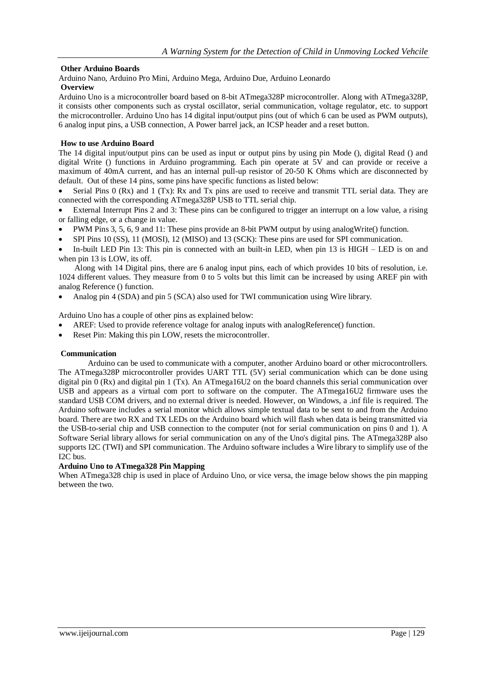# **Other Arduino Boards**

[Arduino Nano,](https://components101.com/microcontrollers/arduino-nano) [Arduino Pro Mini,](https://components101.com/microcontrollers/arduino-pro-mini) Arduino Mega, Arduino Due, Arduino Leonardo

# **Overview**

Arduino Uno is a microcontroller board based on 8-bit ATmega328P microcontroller. Along with ATmega328P, it consists other components such as crystal oscillator, serial communication, voltage regulator, etc. to support the microcontroller. Arduino Uno has 14 digital input/output pins (out of which 6 can be used as PWM outputs), 6 analog input pins, a USB connection, A Power barrel jack, an ICSP header and a reset button.

# **How to use Arduino Board**

The 14 digital input/output pins can be used as input or output pins by using pin Mode (), digital Read () and digital Write () functions in Arduino programming. Each pin operate at 5V and can provide or receive a maximum of 40mA current, and has an internal pull-up resistor of 20-50 K Ohms which are disconnected by default. Out of these 14 pins, some pins have specific functions as listed below:

Serial Pins 0 (Rx) and 1 (Tx): Rx and Tx pins are used to receive and transmit TTL serial data. They are connected with the corresponding ATmega328P USB to TTL serial chip.

 External Interrupt Pins 2 and 3: These pins can be configured to trigger an interrupt on a low value, a rising or falling edge, or a change in value.

- PWM Pins 3, 5, 6, 9 and 11: These pins provide an 8-bit PWM output by using analogWrite() function.
- SPI Pins 10 (SS), 11 (MOSI), 12 (MISO) and 13 (SCK): These pins are used for SPI communication.

 In-built LED Pin 13: This pin is connected with an built-in LED, when pin 13 is HIGH – LED is on and when pin 13 is LOW, its off.

 Along with 14 Digital pins, there are 6 analog input pins, each of which provides 10 bits of resolution, i.e. 1024 different values. They measure from 0 to 5 volts but this limit can be increased by using AREF pin with analog Reference () function.

Analog pin 4 (SDA) and pin 5 (SCA) also used for TWI communication using Wire library.

Arduino Uno has a couple of other pins as explained below:

- AREF: Used to provide reference voltage for analog inputs with analogReference() function.
- Reset Pin: Making this pin LOW, resets the microcontroller.

#### **Communication**

Arduino can be used to communicate with a computer, another Arduino board or other microcontrollers. The ATmega328P microcontroller provides UART TTL (5V) serial communication which can be done using digital pin  $\tilde{0}$  (Rx) and digital pin 1 (Tx). An ATmega16U2 on the board channels this serial communication over USB and appears as a virtual com port to software on the computer. The ATmega16U2 firmware uses the standard USB COM drivers, and no external driver is needed. However, on Windows, a .inf file is required. The Arduino software includes a serial monitor which allows simple textual data to be sent to and from the Arduino board. There are two RX and TX LEDs on the Arduino board which will flash when data is being transmitted via the USB-to-serial chip and USB connection to the computer (not for serial communication on pins 0 and 1). A Software Serial library allows for serial communication on any of the Uno's digital pins. The ATmega328P also supports I2C (TWI) and SPI communication. The Arduino software includes a Wire library to simplify use of the I2C bus.

#### **Arduino Uno to ATmega328 Pin Mapping**

When ATmega328 chip is used in place of Arduino Uno, or vice versa, the image below shows the pin mapping between the two.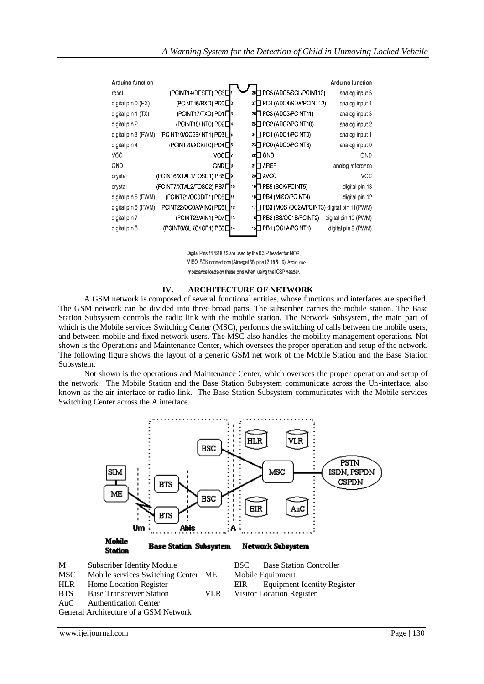| <b>Arduino function</b> |                                       |    |                                                | Arduino function     |
|-------------------------|---------------------------------------|----|------------------------------------------------|----------------------|
| reset                   | (PCINT14/RESET) PC6D                  |    | 28 PC5 (ADC5/SCL/PCINT13)                      | analog input 5       |
| digital pin 0 (RX)      | (PCINT16/RXD) PD0□2                   | 27 | PC4 (ADC4/SDA/PCINT12)                         | analog input 4       |
| digital pin 1 (TX)      | (PCINT17/TXD) PD1□                    |    | 26 PC3 (ADC3/PCINT11)                          | analog input 3       |
| digital pin 2           | (PCINT18/INT0) PD2□                   |    | 25 PC2 (ADC2/PCINT10)                          | analog input 2       |
| digital pin 3 (PWM)     | (PCINT19/OC2B/INT1) PD3□s             |    | 24 PC1 (ADC1/PCINT9)                           | analog input 1       |
| digital pin 4           | (PCINT20/XCK/T0) PD4□6                |    | 23 PC0 (ADC0/PCINT8)                           | analog input 0       |
| VCC                     | vcc⊡                                  |    | $22 \square$ GND                               | GND                  |
| GND                     | GND⊡®                                 |    | 21□ AREF                                       | analog reference     |
| crystal                 | (PCINT6/XTAL1/TOSC1) PB6□9            |    | 20 AVCC                                        | VCC                  |
| crystal                 | (PCINT7/XTAL2/TOSC2) PB7□10           |    | 19 PB5 (SCK/PCINT5)                            | digital pin 13       |
| digital pin 5 (PWM)     | (PCINT21/OC0B/T1) PD5□11              |    | 18 PB4 (MISO/PCINT4)                           | digital pin 12       |
| digital pin 6 (PWM)     | (PCINT22/OC0A/AIN0) PD6 <sup>12</sup> |    | 17 PB3 (MOSI/OC2A/PCINT3) digital pin 11 (PWM) |                      |
| digital pin 7           | (PCINT23/AIN1) PD7□13                 |    | 16 PB2 (SS/OC1B/PCINT2)                        | digital pin 10 (PWM) |
| digital pin 8           | (PCINT0/CLKO/ICP1) PB0□14             |    | 15 <sup>D</sup> PB1 (OC1A/PCINT1)              | digital pin 9 (PWM)  |
|                         |                                       |    |                                                |                      |

Digital Pins 11,12 & 13 are used by the ICSP header for MOSI, MISO, SCK connections (Atmega168 pins 17,18 & 19). Avoid lowimpedance loads on these pins when using the ICSP header.

#### **IV. ARCHITECTURE OF NETWORK**

A GSM network is composed of several functional entities, whose functions and interfaces are specified. The GSM network can be divided into three broad parts. The subscriber carries the mobile station. The Base Station Subsystem controls the radio link with the mobile station. The Network Subsystem, the main part of which is the Mobile services Switching Center (MSC), performs the switching of calls between the mobile users, and between mobile and fixed network users. The MSC also handles the mobility management operations. Not shown is the Operations and Maintenance Center, which oversees the proper operation and setup of the network. The following figure shows the layout of a generic GSM net work of the Mobile Station and the Base Station Subsystem.

Not shown is the operations and Maintenance Center, which oversees the proper operation and setup of the network. The Mobile Station and the Base Station Subsystem communicate across the Un-interface, also known as the air interface or radio link. The Base Station Subsystem communicates with the Mobile services Switching Center across the A interface.



HLR Home Location Register EIR Equipment Identity Register

BTS Base Transceiver Station VLR Visitor Location Register<br>AuC Authentication Center

Authentication Center

General Architecture of a GSM Network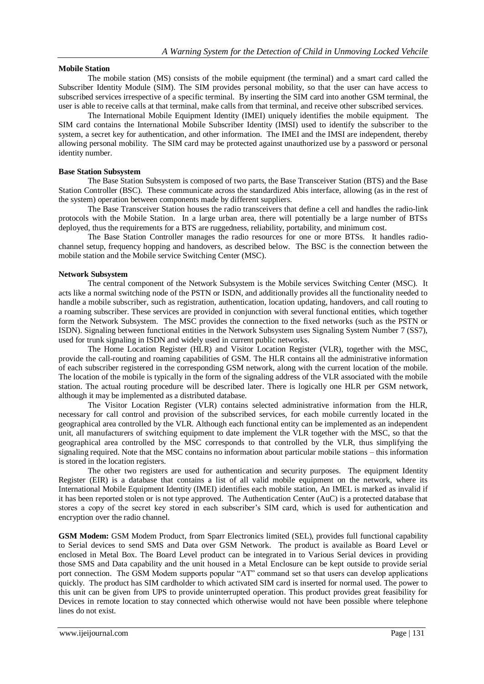#### **Mobile Station**

The mobile station (MS) consists of the mobile equipment (the terminal) and a smart card called the Subscriber Identity Module (SIM). The SIM provides personal mobility, so that the user can have access to subscribed services irrespective of a specific terminal. By inserting the SIM card into another GSM terminal, the user is able to receive calls at that terminal, make calls from that terminal, and receive other subscribed services.

The International Mobile Equipment Identity (IMEI) uniquely identifies the mobile equipment. The SIM card contains the International Mobile Subscriber Identity (IMSI) used to identify the subscriber to the system, a secret key for authentication, and other information. The IMEI and the IMSI are independent, thereby allowing personal mobility. The SIM card may be protected against unauthorized use by a password or personal identity number.

#### **Base Station Subsystem**

The Base Station Subsystem is composed of two parts, the Base Transceiver Station (BTS) and the Base Station Controller (BSC). These communicate across the standardized Abis interface, allowing (as in the rest of the system) operation between components made by different suppliers.

The Base Transceiver Station houses the radio transceivers that define a cell and handles the radio-link protocols with the Mobile Station. In a large urban area, there will potentially be a large number of BTSs deployed, thus the requirements for a BTS are ruggedness, reliability, portability, and minimum cost.

The Base Station Controller manages the radio resources for one or more BTSs. It handles radiochannel setup, frequency hopping and handovers, as described below. The BSC is the connection between the mobile station and the Mobile service Switching Center (MSC).

#### **Network Subsystem**

The central component of the Network Subsystem is the Mobile services Switching Center (MSC). It acts like a normal switching node of the PSTN or ISDN, and additionally provides all the functionality needed to handle a mobile subscriber, such as registration, authentication, location updating, handovers, and call routing to a roaming subscriber. These services are provided in conjunction with several functional entities, which together form the Network Subsystem. The MSC provides the connection to the fixed networks (such as the PSTN or ISDN). Signaling between functional entities in the Network Subsystem uses Signaling System Number 7 (SS7), used for trunk signaling in ISDN and widely used in current public networks.

The Home Location Register (HLR) and Visitor Location Register (VLR), together with the MSC, provide the call-routing and roaming capabilities of GSM. The HLR contains all the administrative information of each subscriber registered in the corresponding GSM network, along with the current location of the mobile. The location of the mobile is typically in the form of the signaling address of the VLR associated with the mobile station. The actual routing procedure will be described later. There is logically one HLR per GSM network, although it may be implemented as a distributed database.

The Visitor Location Register (VLR) contains selected administrative information from the HLR, necessary for call control and provision of the subscribed services, for each mobile currently located in the geographical area controlled by the VLR. Although each functional entity can be implemented as an independent unit, all manufacturers of switching equipment to date implement the VLR together with the MSC, so that the geographical area controlled by the MSC corresponds to that controlled by the VLR, thus simplifying the signaling required. Note that the MSC contains no information about particular mobile stations – this information is stored in the location registers.

The other two registers are used for authentication and security purposes. The equipment Identity Register (EIR) is a database that contains a list of all valid mobile equipment on the network, where its International Mobile Equipment Identity (IMEI) identifies each mobile station, An IMEL is marked as invalid if it has been reported stolen or is not type approved. The Authentication Center (AuC) is a protected database that stores a copy of the secret key stored in each subscriber's SIM card, which is used for authentication and encryption over the radio channel.

**GSM Modem:** GSM Modem Product, from Sparr Electronics limited (SEL), provides full functional capability to Serial devices to send SMS and Data over GSM Network. The product is available as Board Level or enclosed in Metal Box. The Board Level product can be integrated in to Various Serial devices in providing those SMS and Data capability and the unit housed in a Metal Enclosure can be kept outside to provide serial port connection. The GSM Modem supports popular "AT" command set so that users can develop applications quickly. The product has SIM cardholder to which activated SIM card is inserted for normal used. The power to this unit can be given from UPS to provide uninterrupted operation. This product provides great feasibility for Devices in remote location to stay connected which otherwise would not have been possible where telephone lines do not exist.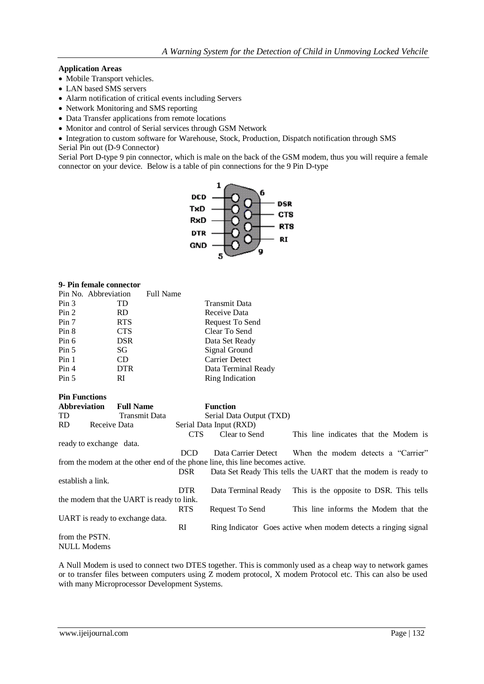# **Application Areas**

- Mobile Transport vehicles.
- LAN based SMS servers
- Alarm notification of critical events including Servers
- Network Monitoring and SMS reporting
- Data Transfer applications from remote locations
- Monitor and control of Serial services through GSM Network

• Integration to custom software for Warehouse, Stock, Production, Dispatch notification through SMS Serial Pin out (D-9 Connector)

Serial Port D-type 9 pin connector, which is male on the back of the GSM modem, thus you will require a female connector on your device. Below is a table of pin connections for the 9 Pin D-type



#### **9- Pin female connector**

**Pin Functions**

|                  | Pin No. Abbreviation | <b>Full Name</b> |                       |
|------------------|----------------------|------------------|-----------------------|
| Pin <sub>3</sub> | TD.                  |                  | <b>Transmit Data</b>  |
| Pin 2            | <b>RD</b>            |                  | Receive Data          |
| Pin 7            | <b>RTS</b>           |                  | Request To Send       |
| Pin 8            | <b>CTS</b>           |                  | Clear To Send         |
| Pin 6            | <b>DSR</b>           |                  | Data Set Ready        |
| Pin 5            | SG                   |                  | Signal Ground         |
| Pin <sub>1</sub> | CD                   |                  | <b>Carrier Detect</b> |
| Pin <sub>4</sub> | <b>DTR</b>           |                  | Data Terminal Ready   |
| Pin 5            | RI                   |                  | Ring Indication       |

| т ні т чисионо      |                                                                              |            |                          |                                                                |
|---------------------|------------------------------------------------------------------------------|------------|--------------------------|----------------------------------------------------------------|
| <b>Abbreviation</b> | <b>Full Name</b>                                                             |            | <b>Function</b>          |                                                                |
| TD.                 | <b>Transmit Data</b>                                                         |            | Serial Data Output (TXD) |                                                                |
| <b>RD</b>           | Receive Data                                                                 |            | Serial Data Input (RXD)  |                                                                |
|                     |                                                                              | <b>CTS</b> | Clear to Send            | This line indicates that the Modem is                          |
|                     | ready to exchange data.                                                      |            |                          |                                                                |
|                     |                                                                              | <b>DCD</b> |                          | Data Carrier Detect When the modem detects a "Carrier"         |
|                     | from the modem at the other end of the phone line, this line becomes active. |            |                          |                                                                |
|                     |                                                                              | <b>DSR</b> |                          | Data Set Ready This tells the UART that the modem is ready to  |
| establish a link.   |                                                                              |            |                          |                                                                |
|                     |                                                                              | <b>DTR</b> | Data Terminal Ready      | This is the opposite to DSR. This tells                        |
|                     | the modem that the UART is ready to link.                                    |            |                          |                                                                |
|                     |                                                                              | <b>RTS</b> | Request To Send          | This line informs the Modem that the                           |
|                     | UART is ready to exchange data.                                              |            |                          |                                                                |
|                     |                                                                              | RI         |                          | Ring Indicator Goes active when modem detects a ringing signal |
| from the PSTN.      |                                                                              |            |                          |                                                                |
| <b>NULL Modems</b>  |                                                                              |            |                          |                                                                |

A Null Modem is used to connect two DTES together. This is commonly used as a cheap way to network games or to transfer files between computers using Z modem protocol, X modem Protocol etc. This can also be used with many Microprocessor Development Systems.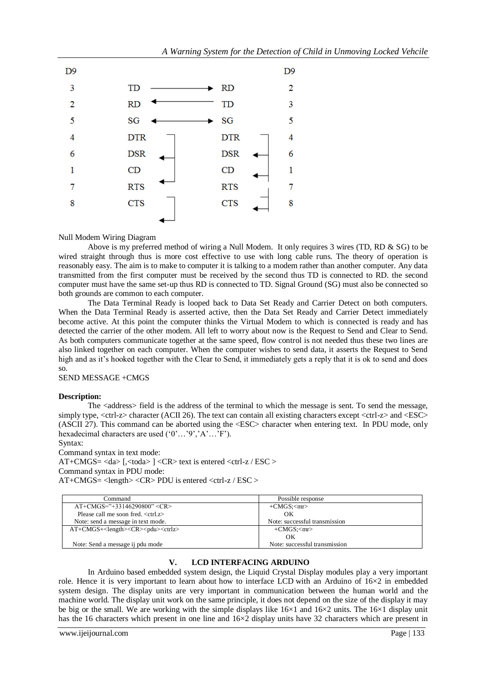

#### Null Modem Wiring Diagram

Above is my preferred method of wiring a Null Modem. It only requires 3 wires (TD, RD & SG) to be wired straight through thus is more cost effective to use with long cable runs. The theory of operation is reasonably easy. The aim is to make to computer it is talking to a modem rather than another computer. Any data transmitted from the first computer must be received by the second thus TD is connected to RD. the second computer must have the same set-up thus RD is connected to TD. Signal Ground (SG) must also be connected so both grounds are common to each computer.

The Data Terminal Ready is looped back to Data Set Ready and Carrier Detect on both computers. When the Data Terminal Ready is asserted active, then the Data Set Ready and Carrier Detect immediately become active. At this point the computer thinks the Virtual Modem to which is connected is ready and has detected the carrier of the other modem. All left to worry about now is the Request to Send and Clear to Send. As both computers communicate together at the same speed, flow control is not needed thus these two lines are also linked together on each computer. When the computer wishes to send data, it asserts the Request to Send high and as it's hooked together with the Clear to Send, it immediately gets a reply that it is ok to send and does so.

#### SEND MESSAGE +CMGS

#### **Description:**

The <address> field is the address of the terminal to which the message is sent. To send the message, simply type, <ctrl-z> character (ACII 26). The text can contain all existing characters except <ctrl-z> and <ESC> (ASCII 27). This command can be aborted using the <ESC> character when entering text. In PDU mode, only hexadecimal characters are used ('0'…'9','A'…'F').

Syntax:

Command syntax in text mode: AT+CMGS= <da> [,<toda> ] <CR> text is entered <ctrl-z / ESC > Command syntax in PDU mode:  $AT+CMGS = \langle length \rangle \langle CR \rangle$  PDU is entered  $\langle crit \rangle$  =  $Z / ESC$ 

| Command                                           | Possible response              |
|---------------------------------------------------|--------------------------------|
| $AT+CMGS=$ "+33146290800" <cr></cr>               | $+CMGS$ : $\langle mr \rangle$ |
| Please call me soon fred. $\langle$ ctrl. $z$ $>$ | OК                             |
| Note: send a message in text mode.                | Note: successful transmission  |
| $AT+CMGS+length<<>CR>odd$                         | $+CMGS$ : $\langle mr \rangle$ |
|                                                   | OК                             |
| Note: Send a message ij pdu mode                  | Note: successful transmission  |

#### **V. LCD INTERFACING ARDUINO**

In Arduino based embedded system design, the Liquid Crystal Display modules play a very important role. Hence it is very important to learn about how to interface LCD with an Arduino of  $16\times2$  in embedded system design. The display units are very important in communication between the human world and the machine world. The display unit work on the same principle, it does not depend on the size of the display it may be big or the small. We are working with the simple displays like 16×1 and 16×2 units. The 16×1 display unit has the 16 characters which present in one line and  $16\times2$  display units have 32 characters which are present in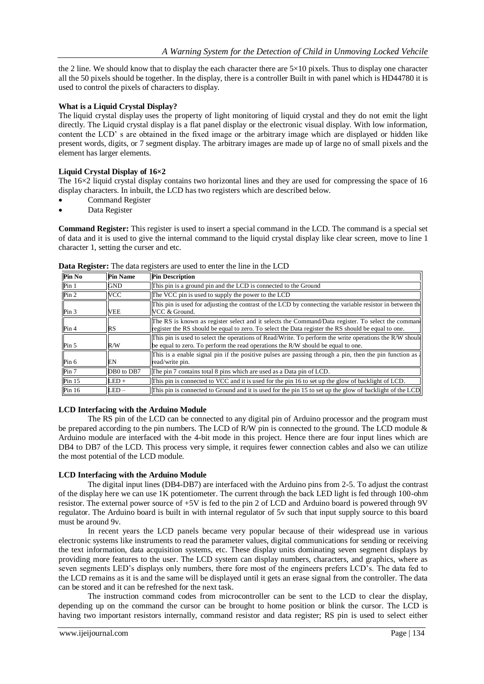the 2 line. We should know that to display the each character there are  $5\times10$  pixels. Thus to display one character all the 50 pixels should be together. In the display, there is a controller Built in with panel which is HD44780 it is used to control the pixels of characters to display.

# **What is a Liquid Crystal Display?**

The liquid crystal [display](https://www.elprocus.com/ever-wondered-lcd-works/) uses the property of light monitoring of liquid crystal and they do not emit the light directly. The Liquid crystal display is a flat panel display or the electronic visual display. With low information, content the LCD' s are obtained in the fixed image or the arbitrary image which are displayed or hidden like present words, digits, or 7 [segment](https://www.elprocus.com/types-of-7-segment-displays-and-controlling-ways/) display. The arbitrary images are made up of large no of small pixels and the element has larger elements.

### **Liquid Crystal Display of 16×2**

The  $16\times2$  liquid crystal display contains two horizontal lines and they are used for compressing the space of 16 display characters. In inbuilt, the LCD has two registers which are described below.

- Command Register
- Data Register

**Command Register:** This register is used to insert a special command in the LCD. The command is a special set of data and it is used to give the internal command to the liquid crystal display like clear screen, move to line 1 character 1, setting the curser and etc.

| Pin No           | <b>Pin Name</b> | <b>Pin Description</b>                                                                                                                                                                                    |
|------------------|-----------------|-----------------------------------------------------------------------------------------------------------------------------------------------------------------------------------------------------------|
| Pin <sub>1</sub> | <b>GND</b>      | This pin is a ground pin and the LCD is connected to the Ground                                                                                                                                           |
| Pin <sub>2</sub> | <b>VCC</b>      | The VCC pin is used to supply the power to the LCD                                                                                                                                                        |
| Pin <sub>3</sub> | <b>VEE</b>      | This pin is used for adjusting the contrast of the LCD by connecting the variable resistor in between the<br>VCC & Ground.                                                                                |
| Pin <sub>4</sub> | RS              | The RS is known as register select and it selects the Command/Data register. To select the command<br>register the RS should be equal to zero. To select the Data register the RS should be equal to one. |
| Pin <sub>5</sub> | R/W             | This pin is used to select the operations of Read/Write. To perform the write operations the R/W should<br>be equal to zero. To perform the read operations the $R/W$ should be equal to one.             |
| Pin 6            | EN              | This is a enable signal pin if the positive pulses are passing through a pin, then the pin function as $\frac{1}{2}$<br>read/write pin.                                                                   |
| Pin 7            | DB0 to DB7      | The pin 7 contains total 8 pins which are used as a Data pin of LCD.                                                                                                                                      |
| Pin 15           | $LED +$         | This pin is connected to VCC and it is used for the pin 16 to set up the glow of backlight of LCD.                                                                                                        |
| Pin $16$         | $LED -$         | This pin is connected to Ground and it is used for the pin 15 to set up the glow of backlight of the LCD                                                                                                  |

**Data Register:** The data registers are used to enter the line in the LCD

### **LCD Interfacing with the Arduino Module**

The RS pin of the LCD can be connected to any digital pin of Arduino processor and the program must be prepared according to the pin numbers. The LCD of R/W pin is connected to the ground. The LCD module  $\&$ Arduino module are interfaced with the 4-bit mode in this project. Hence there are four input lines which are DB4 to DB7 of the LCD. This process very simple, it requires fewer connection cables and also we can utilize the most potential of the LCD module.

#### **LCD Interfacing with the Arduino Module**

The digital input lines (DB4-DB7) are interfaced with the Arduino pins from 2-5. To adjust the contrast of the display here we can use 1K potentiometer. The current through the back LED light is fed through 100-ohm resistor. The external power source of +5V is fed to the pin 2 of LCD and Arduino board is powered through 9V regulator. The Arduino board is built in with internal regulator of 5v such that input supply source to this board must be around 9v.

In recent years the LCD panels became very popular because of their widespread use in various electronic systems like instruments to read the parameter values, digital communications for sending or receiving the text information, data acquisition systems, etc. These display units dominating seven segment displays by providing more features to the user. The LCD system can display numbers, characters, and graphics, where as seven segments LED's displays only numbers, there fore most of the engineers prefers LCD's. The data fed to the LCD remains as it is and the same will be displayed until it gets an erase signal from the controller. The data can be stored and it can be refreshed for the next task.

The instruction command codes from microcontroller can be sent to the LCD to clear the display, depending up on the command the cursor can be brought to home position or blink the cursor. The LCD is having two important resistors internally, command resistor and data register; RS pin is used to select either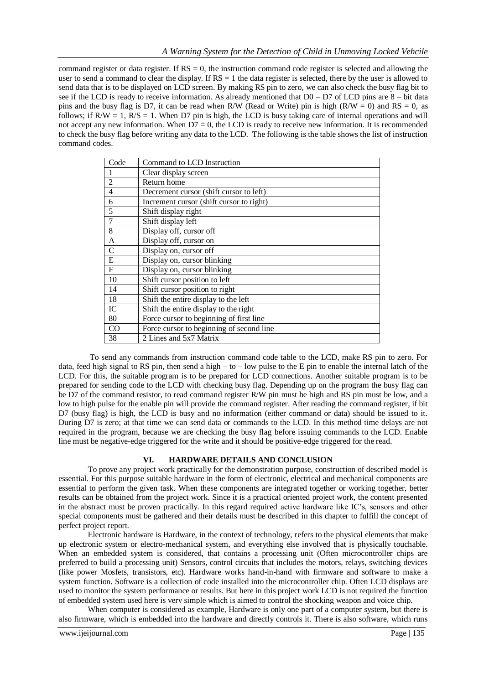command register or data register. If  $RS = 0$ , the instruction command code register is selected and allowing the user to send a command to clear the display. If  $RS = 1$  the data register is selected, there by the user is allowed to send data that is to be displayed on LCD screen. By making RS pin to zero, we can also check the busy flag bit to see if the LCD is ready to receive information. As already mentioned that D0 – D7 of LCD pins are 8 – bit data pins and the busy flag is D7, it can be read when R/W (Read or Write) pin is high (R/W = 0) and RS = 0, as follows; if  $R/W = 1$ ,  $R/S = 1$ . When D7 pin is high, the LCD is busy taking care of internal operations and will not accept any new information. When  $D7 = 0$ , the LCD is ready to receive new information. It is recommended to check the busy flag before writing any data to the LCD. The following is the table shows the list of instruction command codes.

| Code           | Command to LCD Instruction               |
|----------------|------------------------------------------|
|                | Clear display screen                     |
| $\overline{2}$ | Return home                              |
| $\overline{4}$ | Decrement cursor (shift cursor to left)  |
| 6              | Increment cursor (shift cursor to right) |
| 5              | Shift display right                      |
| 7              | Shift display left                       |
| 8              | Display off, cursor off                  |
| $\mathbf{A}$   | Display off, cursor on                   |
| $\mathcal{C}$  | Display on, cursor off                   |
| E              | Display on, cursor blinking              |
| $\mathbf{F}$   | Display on, cursor blinking              |
| 10             | Shift cursor position to left            |
| 14             | Shift cursor position to right           |
| 18             | Shift the entire display to the left     |
| IC             | Shift the entire display to the right    |
| 80             | Force cursor to beginning of first line  |
| CO             | Force cursor to beginning of second line |
| 38             | 2 Lines and 5x7 Matrix                   |

To send any commands from instruction command code table to the LCD, make RS pin to zero. For data, feed high signal to RS pin, then send a high  $-$  to  $-$  low pulse to the E pin to enable the internal latch of the LCD. For this, the suitable program is to be prepared for LCD connections. Another suitable program is to be prepared for sending code to the LCD with checking busy flag. Depending up on the program the busy flag can be D7 of the command resistor, to read command register R/W pin must be high and RS pin must be low, and a low to high pulse for the enable pin will provide the command register. After reading the command register, if bit D7 (busy flag) is high, the LCD is busy and no information (either command or data) should be issued to it. During D7 is zero; at that time we can send data or commands to the LCD. In this method time delays are not required in the program, because we are checking the busy flag before issuing commands to the LCD. Enable line must be negative-edge triggered for the write and it should be positive-edge triggered for the read.

#### **VI. HARDWARE DETAILS AND CONCLUSION**

To prove any project work practically for the demonstration purpose, construction of described model is essential. For this purpose suitable hardware in the form of electronic, electrical and mechanical components are essential to perform the given task. When these components are integrated together or working together, better results can be obtained from the project work. Since it is a practical oriented project work, the content presented in the abstract must be proven practically. In this regard required active hardware like IC's, sensors and other special components must be gathered and their details must be described in this chapter to fulfill the concept of perfect project report.

Electronic hardware is Hardware, in the context of technology, refers to the physical elements that make up electronic system or electro-mechanical system, and everything else involved that is physically touchable. When an embedded system is considered, that contains a processing unit (Often microcontroller chips are preferred to build a processing unit) Sensors, control circuits that includes the motors, relays, switching devices (like power Mosfets, transistors, etc). Hardware works hand-in-hand with firmware and software to make a system function. Software is a collection of code installed into the microcontroller chip. Often LCD displays are used to monitor the system performance or results. But here in this project work LCD is not required the function of embedded system used here is very simple which is aimed to control the shocking weapon and voice chip.

When computer is considered as example, Hardware is only one part of a computer system, but there is also firmware, which is embedded into the hardware and directly controls it. There is also software, which runs